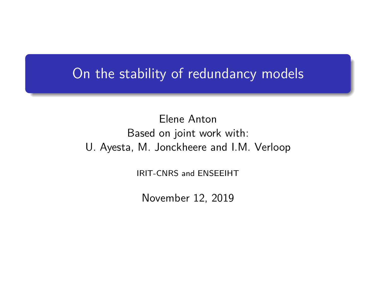## On the stability of redundancy models

Elene Anton Based on joint work with: U. Ayesta, M. Jonckheere and I.M. Verloop

IRIT-CNRS and ENSEEIHT

November 12, 2019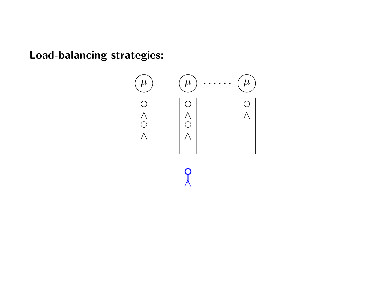**Load-balancing strategies:**

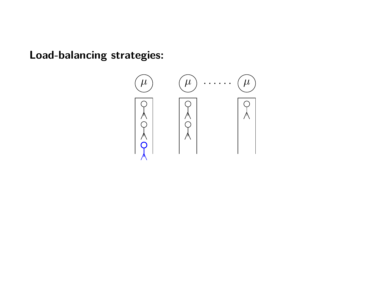**Load-balancing strategies:**

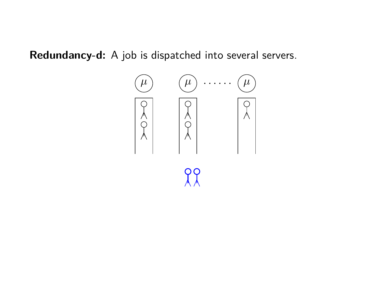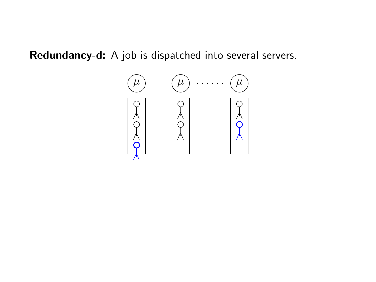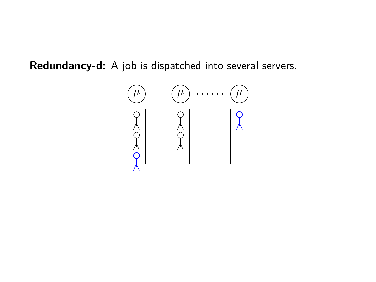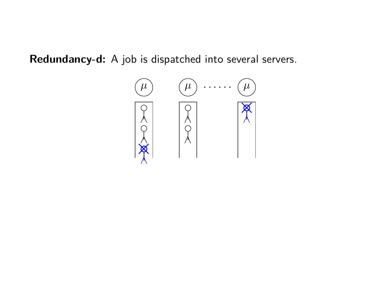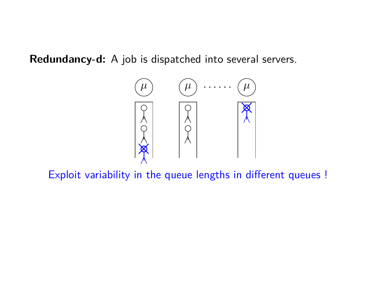

Exploit variability in the queue lengths in different queues !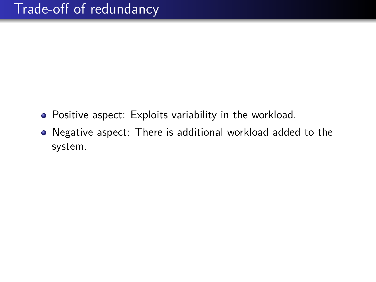- Positive aspect: Exploits variability in the workload.
- Negative aspect: There is additional workload added to the system.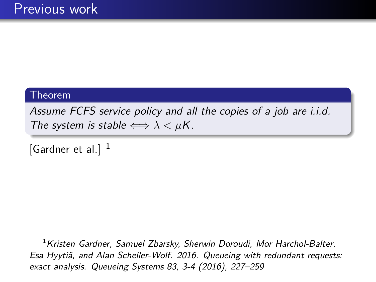Assume FCFS service policy and all the copies of a job are i.i.d. The system is stable  $\Longleftrightarrow \lambda < \mu K$ .

[Gardner et al.]  $<sup>1</sup>$ </sup>

 $1$ Kristen Gardner, Samuel Zbarsky, Sherwin Doroudi, Mor Harchol-Balter, Esa Hyytiä, and Alan Scheller-Wolf. 2016. Queueing with redundant requests: exact analysis. Queueing Systems 83, 3-4 (2016), 227–259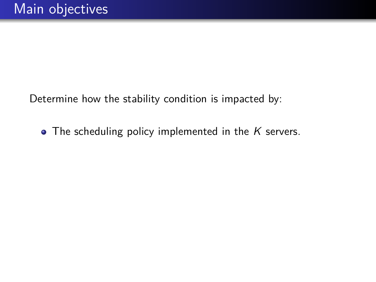Determine how the stability condition is impacted by:

 $\bullet$  The scheduling policy implemented in the  $K$  servers.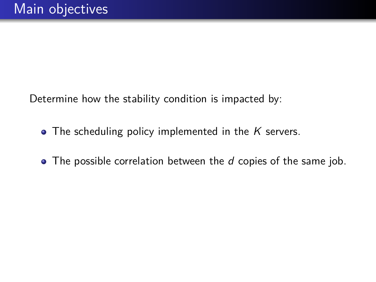Determine how the stability condition is impacted by:

- $\bullet$  The scheduling policy implemented in the K servers.
- $\bullet$  The possible correlation between the  $d$  copies of the same job.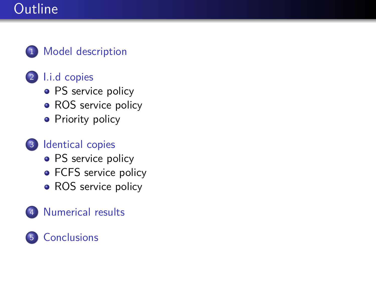# **Outline**

#### 1 [Model description](#page-13-0)

### 2 [I.i.d copies](#page-20-0)

- [PS service policy](#page-20-0)
- [ROS service policy](#page-22-0)
- **•** [Priority policy](#page-23-0)

### 3 [Identical copies](#page-26-0)

- [PS service policy](#page-26-0)
- [FCFS service policy](#page-36-0)
- [ROS service policy](#page-47-0)

### [Numerical results](#page-49-0)

### 5 [Conclusions](#page-52-0)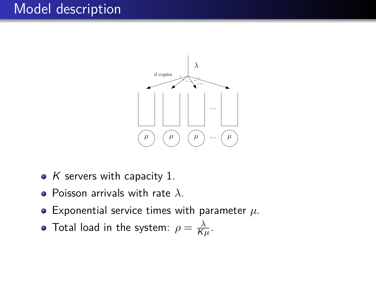# <span id="page-13-0"></span>Model description



- $K$  servers with capacity 1.
- Poisson arrivals with rate *λ*.
- Exponential service times with parameter *µ*.
- Total load in the system:  $\rho = \frac{\lambda}{K}$  $\frac{\lambda}{K\mu}$ .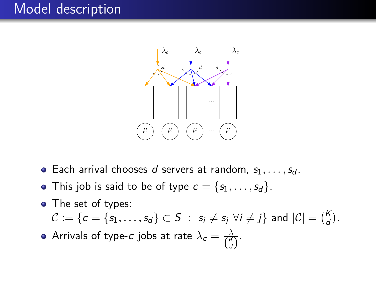# Model description



- Each arrival chooses d servers at random,  $s_1, \ldots, s_d$ .
- This job is said to be of type  $c = \{s_1, \ldots, s_d\}$ .
- The set of types:  $\mathcal{C} := \{c = \{s_1, \ldots, s_d\} \subset S \; : \; s_i \neq s_j \; \forall i \neq j\} \; \text{and} \; |\mathcal{C}| = \binom{K}{d}.$ Arrivals of type-*c* jobs at rate  $\lambda_c = \frac{\lambda}{l^{\kappa}}$  $\frac{\lambda}{\binom{K}{d}}$ .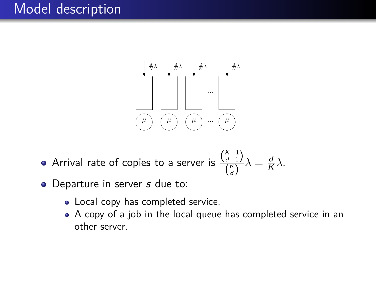# Model description



- Arrival rate of copies to a server is  $\frac{{K-1 \choose d-1}}{{K \choose d}}$  $\frac{d-1}{\binom{K}{d}}\lambda = \frac{d}{K}$ K *λ*.
- Departure in server s due to:
	- Local copy has completed service.
	- A copy of a job in the local queue has completed service in an other server.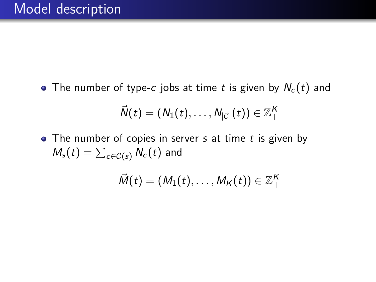• The number of type-c jobs at time t is given by  $N_c(t)$  and

$$
\vec{N}(t)=(N_1(t),\ldots,N_{|\mathcal{C}|}(t))\in\mathbb{Z}_+^K
$$

 $\bullet$  The number of copies in server  $s$  at time  $t$  is given by  $\mathit{M}_{s}(t)=\sum_{c\in\mathcal{C}(s)}\mathit{N}_{c}(t)$  and

$$
\vec{M}(t)=(M_1(t),\ldots,M_K(t))\in\mathbb{Z}_+^K
$$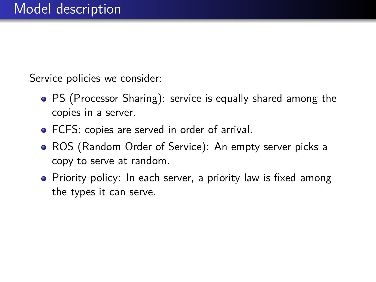Service policies we consider:

- PS (Processor Sharing): service is equally shared among the copies in a server.
- FCFS: copies are served in order of arrival.
- ROS (Random Order of Service): An empty server picks a copy to serve at random.
- Priority policy: In each server, a priority law is fixed among the types it can serve.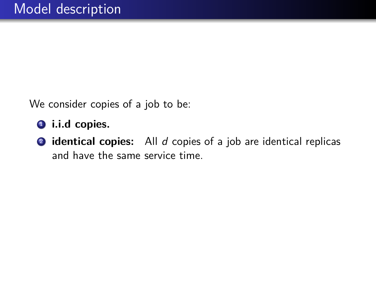We consider copies of a job to be:

- **1** i.i.d copies.
- <sup>2</sup> **identical copies:** All d copies of a job are identical replicas and have the same service time.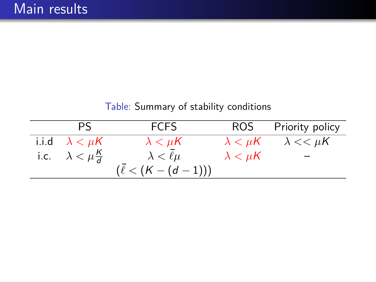| PS.                              | <b>FCFS</b>               |                   | ROS Priority policy                  |
|----------------------------------|---------------------------|-------------------|--------------------------------------|
| i.i.d $\lambda < \mu K$          | $\lambda < \mu$ K         |                   | $\lambda < \mu K$ $\lambda << \mu K$ |
| i.c. $\lambda < \mu \frac{K}{d}$ | $\lambda < \bar{\ell}\mu$ | $\lambda < \mu K$ |                                      |
|                                  | $(\ell < (K - (d - 1)))$  |                   |                                      |

Table: Summary of stability conditions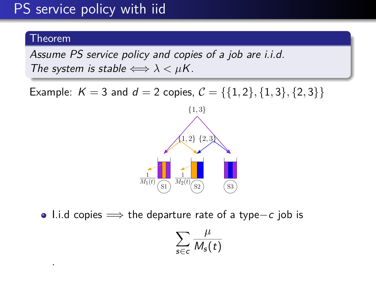# <span id="page-20-0"></span>PS service policy with iid

#### Theorem

.

Assume PS service policy and copies of a job are i.i.d. The system is stable  $\Longleftrightarrow \lambda < \mu K$ .

Example:  $K = 3$  and  $d = 2$  copies,  $C = \{\{1, 2\}, \{1, 3\}, \{2, 3\}\}\$ 



I.i.d copies =⇒ the departure rate of a type−c job is

$$
\sum_{s\in c}\frac{\mu}{M_s(t)}
$$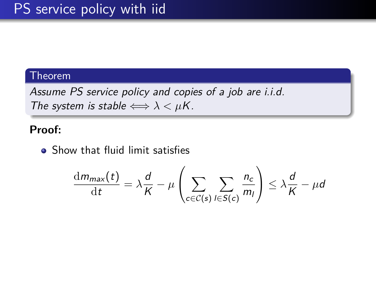Assume PS service policy and copies of a job are i.i.d. The system is stable  $\Longleftrightarrow \lambda < \mu K$ .

#### **Proof:**

• Show that fluid limit satisfies

$$
\frac{\mathrm{d}m_{\max}(t)}{\mathrm{d}t} = \lambda \frac{d}{K} - \mu \left( \sum_{c \in \mathcal{C}(s)} \sum_{l \in S(c)} \frac{n_c}{m_l} \right) \leq \lambda \frac{d}{K} - \mu d
$$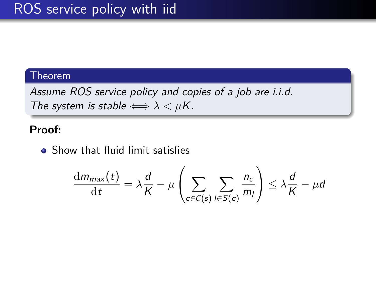<span id="page-22-0"></span>Assume ROS service policy and copies of a job are i.i.d. The system is stable  $\Longleftrightarrow \lambda < \mu K$ .

#### **Proof:**

• Show that fluid limit satisfies

$$
\frac{\mathrm{d}m_{\max}(t)}{\mathrm{d}t} = \lambda \frac{d}{K} - \mu \left( \sum_{c \in \mathcal{C}(s)} \sum_{l \in S(c)} \frac{n_c}{m_l} \right) \leq \lambda \frac{d}{K} - \mu d
$$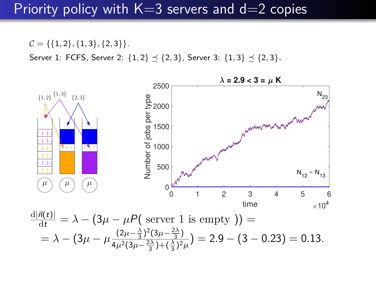### <span id="page-23-0"></span>Priority policy with  $K=3$  servers and  $d=2$  copies

 $C = \{\{1, 2\}, \{1, 3\}, \{2, 3\}\}.$ Server 1: FCFS, Server 2:  $\{1,2\} \preceq \{2,3\}$ , Server 3:  $\{1,3\} \preceq \{2,3\}$ .

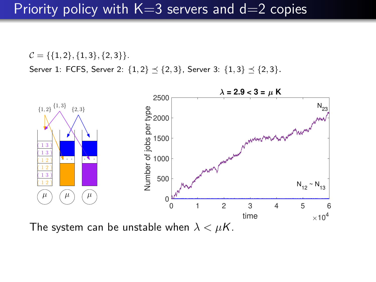## Priority policy with  $K=3$  servers and  $d=2$  copies

 $C = \{\{1, 2\}, \{1, 3\}, \{2, 3\}\}.$ Server 1: FCFS, Server 2:  $\{1,2\} \preceq \{2,3\}$ , Server 3:  $\{1,3\} \preceq \{2,3\}$ .



The system can be unstable when  $\lambda < \mu K$ .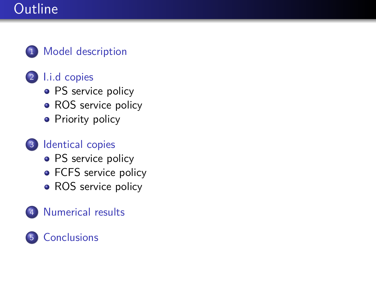# **Outline**

#### 1 [Model description](#page-13-0)

### 2 [I.i.d copies](#page-20-0)

- [PS service policy](#page-20-0)
- [ROS service policy](#page-22-0)
- **•** [Priority policy](#page-23-0)

### 3 [Identical copies](#page-26-0)

- [PS service policy](#page-26-0)
- [FCFS service policy](#page-36-0)
- [ROS service policy](#page-47-0)

### [Numerical results](#page-49-0)

### 5 [Conclusions](#page-52-0)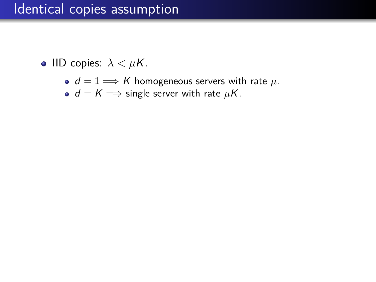- $d = 1 \Longrightarrow K$  homogeneous servers with rate  $\mu$ .
- $\bullet$   $d = K \Longrightarrow$  single server with rate  $\mu K$ .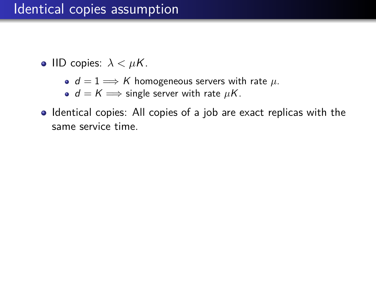- $d = 1 \Longrightarrow K$  homogeneous servers with rate  $\mu$ .
- $\bullet$   $d = K \Longrightarrow$  single server with rate  $\mu$ K.
- Identical copies: All copies of a job are exact replicas with the same service time.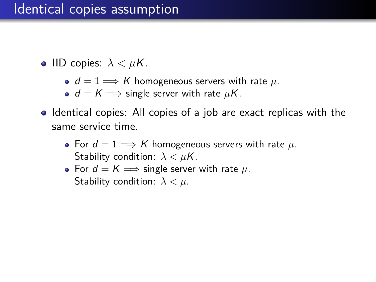- $d = 1 \Longrightarrow K$  homogeneous servers with rate  $\mu$ .
- $\bullet$   $d = K \Longrightarrow$  single server with rate  $\mu$ K.
- Identical copies: All copies of a job are exact replicas with the same service time.
	- For  $d = 1 \Longrightarrow K$  homogeneous servers with rate  $\mu$ . Stability condition: *λ < µ*K.
	- For  $d = K \implies$  single server with rate  $\mu$ . Stability condition: *λ < µ*.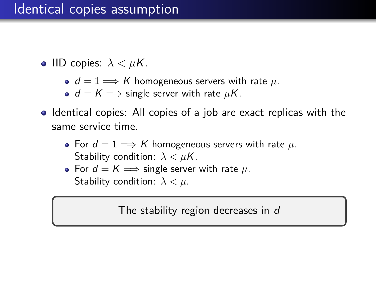**•** IID copies:  $\lambda < \mu K$ .

•  $d = 1 \Longrightarrow K$  homogeneous servers with rate  $\mu$ .

 $\bullet$   $d = K \Longrightarrow$  single server with rate  $\mu$ K.

- Identical copies: All copies of a job are exact replicas with the same service time.
	- For  $d = 1 \Longrightarrow K$  homogeneous servers with rate  $\mu$ . Stability condition: *λ < µ*K.
	- For  $d = K \implies$  single server with rate  $\mu$ . Stability condition: *λ < µ*.

The stability region decreases in d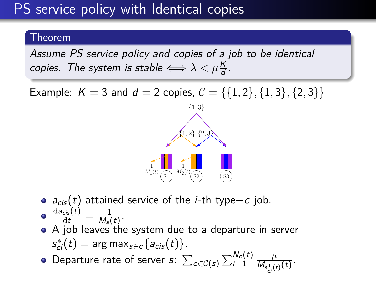# PS service policy with Identical copies

#### Theorem

Assume PS service policy and copies of a job to be identical copies. The system is stable  $\Longleftrightarrow \lambda < \mu \frac{K}{d}$ .

Example:  $K = 3$  and  $d = 2$  copies,  $C = \{\{1, 2\}, \{1, 3\}, \{2, 3\}\}\$ 



- $a_{cis}(t)$  attained service of the *i*-th type–c job.
- $\frac{\mathrm{d} \mathsf{a}_{\textsf{cis}}(t)}{\mathrm{d} t} = \frac{1}{\mathsf{M}_{\textsf{s}}(t)}$  $\frac{1}{M_{\rm s}(t)}$ .
- A job leaves the system due to a departure in server  $s_{ci}^*(t) = \arg \max_{s \in c} \{a_{cis}(t)\}.$
- Departure rate of server  $s\colon \sum_{c\in \mathcal{C}(s)}\sum_{i=1}^{N_c(t)}\frac{\mu}{M_{c^*,(s)}}$  $\frac{\mu}{M_{s_{ci}^*(t)}(t)}$ .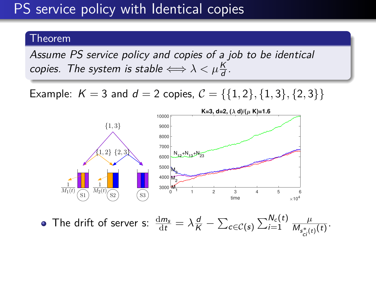# PS service policy with Identical copies

#### Theorem

Assume PS service policy and copies of a job to be identical copies. The system is stable  $\Longleftrightarrow \lambda < \mu \frac{K}{d}$ .

Example:  $K = 3$  and  $d = 2$  copies,  $C = \{\{1, 2\}, \{1, 3\}, \{2, 3\}\}\$ 



The drift of server s:  $\frac{dm_s}{dt} = \lambda \frac{d}{K} - \sum_{c \in \mathcal{C}(s)} \sum_{i=1}^{N_c(t)} \frac{\mu}{M_{s^*(t)}}$  $\frac{\mu}{M_{s_{ci}^*(t)}(t)}$ .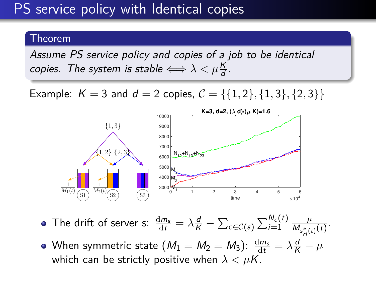# PS service policy with Identical copies

#### Theorem

Assume PS service policy and copies of a job to be identical copies. The system is stable  $\Longleftrightarrow \lambda < \mu \frac{K}{d}$ .

Example:  $K = 3$  and  $d = 2$  copies,  $C = \{\{1, 2\}, \{1, 3\}, \{2, 3\}\}\$ 



- The drift of server s:  $\frac{dm_s}{dt} = \lambda \frac{d}{K} \sum_{c \in \mathcal{C}(s)} \sum_{i=1}^{N_c(t)} \frac{\mu}{M_{s^*(t)}}$  $\frac{\mu}{M_{s_{ci}^*(t)}(t)}$ .
- When symmetric state  $(M_1 = M_2 = M_3)$ :  $\frac{\mathrm{d} m_\mathrm{s}}{\mathrm{d} t} = \lambda \frac{\mathrm{d}}{\mathrm{K}} \mu$ which can be strictly positive when  $\lambda < \mu K$ .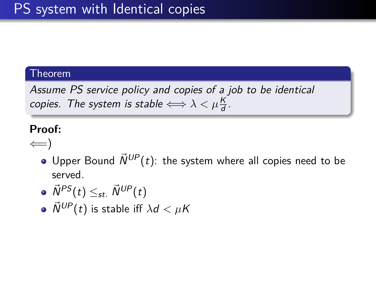Assume PS service policy and copies of a job to be identical copies. The system is stable  $\Longleftrightarrow \lambda < \mu \frac{K}{d}$ .

#### **Proof:**

 $\leftarrow$ 

- $\bullet$  Upper Bound  $\vec{N}^{UP}(t)$ : the system where all copies need to be served.
- $\overrightarrow{N}^{PS}(t) \leq_{st} \overrightarrow{N}^{UP}(t)$
- $\bullet$   $\vec{N}^{UP}(t)$  is stable iff  $\lambda d < \mu K$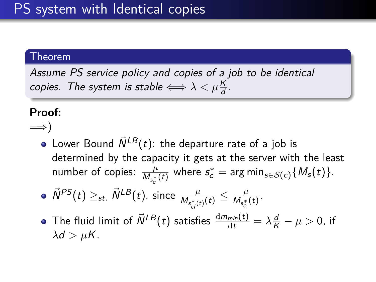Assume PS service policy and copies of a job to be identical copies. The system is stable  $\Longleftrightarrow \lambda < \mu \frac{K}{d}$ .

#### **Proof:**

- =⇒)
	- Lower Bound  $\vec{N}^{LB}(t)$ : the departure rate of a job is determined by the capacity it gets at the server with the least number of copies:  $\frac{\mu}{M_{s_c^*}(t)}$  where  $s_c^* = \arg \min_{s \in S(c)} \{M_s(t)\}.$
	- $\vec{N}^{PS}(t) \geq_{st.} \vec{N}^{LB}(t)$ , since  $\frac{\mu}{M_{s_{ci}^*(t)}(t)} \leq \frac{\mu}{M_{s_c^*}}$  $\frac{\mu}{M_{s_c^*}(t)}$ .
	- The fluid limit of  $\vec{N}^{LB}(t)$  satisfies  $\frac{dm_{min}(t)}{dt} = \lambda \frac{d}{K} \mu > 0$ , if  $\lambda$ *d* >  $\mu$ K.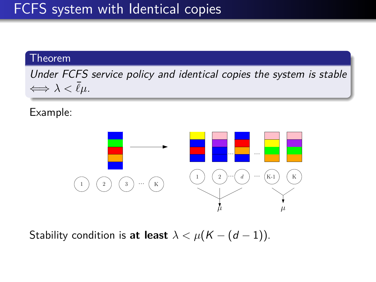<span id="page-36-0"></span>Under FCFS service policy and identical copies the system is stable  $\Longleftrightarrow \lambda \lt \bar{\ell}\mu$ .

Example:



Stability condition is **at least**  $\lambda < \mu(K - (d - 1))$ .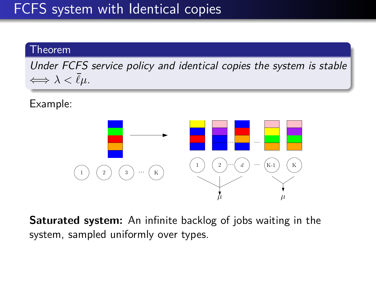Under FCFS service policy and identical copies the system is stable  $\Longleftrightarrow \lambda \lt \bar{\ell}\mu$ .

Example:



**Saturated system:** An infinite backlog of jobs waiting in the system, sampled uniformly over types.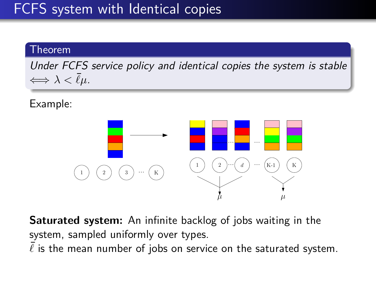Under FCFS service policy and identical copies the system is stable  $\Longleftrightarrow \lambda \leq \overline{\ell}\mu.$ 

Example:



**Saturated system:** An infinite backlog of jobs waiting in the system, sampled uniformly over types.

 $\overline{\ell}$  is the mean number of jobs on service on the saturated system.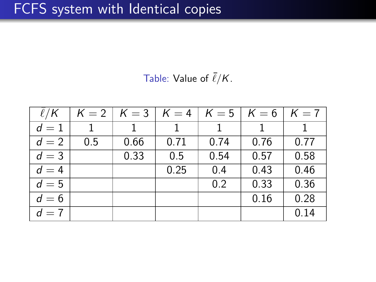Table: Value of  $\bar{\ell}/K$ .

| $\ell/K$ |     | $K = 2   K = 3  $ | $K=4$ | $K=5$ | $\mathcal{K}=6$ | $K=7$ |
|----------|-----|-------------------|-------|-------|-----------------|-------|
| $d=1$    |     |                   |       |       |                 |       |
| $d=2$    | 0.5 | 0.66              | 0.71  | 0.74  | 0.76            | 0.77  |
| $d=3$    |     | 0.33              | 0.5   | 0.54  | 0.57            | 0.58  |
| $d=4$    |     |                   | 0.25  | 0.4   | 0.43            | 0.46  |
| $d=5$    |     |                   |       | 0.2   | 0.33            | 0.36  |
| $d=6$    |     |                   |       |       | 0.16            | 0.28  |
| $d=7$    |     |                   |       |       |                 | 0.14  |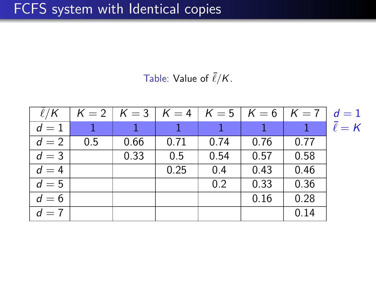Table: Value of  $\bar{\ell}/K$ .

| $\ell/K$ |     | $K = 2$   $K = 3$   $K = 4$   $K = 5$   $K = 6$   $K = 7$ |      |      |      |      | $d=1$            |
|----------|-----|-----------------------------------------------------------|------|------|------|------|------------------|
| $d=1$    |     |                                                           |      |      |      |      | $\bar{\ell} = K$ |
| $d=2$    | 0.5 | 0.66                                                      | 0.71 | 0.74 | 0.76 | 0.77 |                  |
| $d=3$    |     | 0.33                                                      | 0.5  | 0.54 | 0.57 | 0.58 |                  |
| $d=4$    |     |                                                           | 0.25 | 0.4  | 0.43 | 0.46 |                  |
| $d=5$    |     |                                                           |      | 0.2  | 0.33 | 0.36 |                  |
| $d=6$    |     |                                                           |      |      | 0.16 | 0.28 |                  |
| $d=7$    |     |                                                           |      |      |      | 0.14 |                  |

 $\overline{\mathsf{K}}$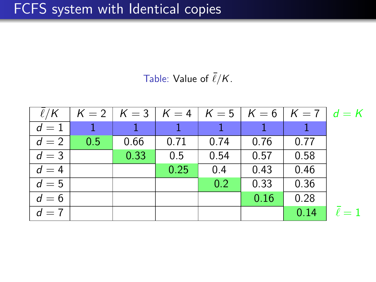Table: Value of  $\bar{\ell}/K$ .

| $\ell/K$ |     |      |      |      |      | $K = 2$   $K = 3$   $K = 4$   $K = 5$   $K = 6$   $K = 7$   $d = K$ |  |
|----------|-----|------|------|------|------|---------------------------------------------------------------------|--|
| $d=1$    |     |      |      |      |      |                                                                     |  |
| $d=2$    | 0.5 | 0.66 | 0.71 | 0.74 | 0.76 | 0.77                                                                |  |
| $d=3$    |     | 0.33 | 0.5  | 0.54 | 0.57 | 0.58                                                                |  |
| $d=4$    |     |      | 0.25 | 0.4  | 0.43 | 0.46                                                                |  |
| $d=5$    |     |      |      | 0.2  | 0.33 | 0.36                                                                |  |
| $d=6$    |     |      |      |      | 0.16 | 0.28                                                                |  |
| $d=7$    |     |      |      |      |      | 0.14                                                                |  |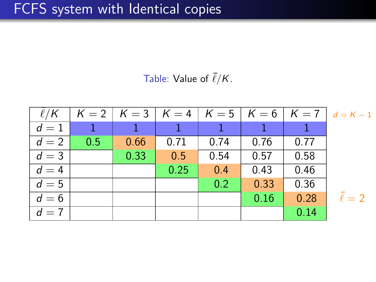Table: Value of  $\bar{\ell}/K$ .

| $\ell/K$ |     |      |      |      |      |      | $K = 2$ $K = 3$ $K = 4$ $K = 5$ $K = 6$ $K = 7$ $d = K - 1$ |
|----------|-----|------|------|------|------|------|-------------------------------------------------------------|
| $d=1$    |     |      |      |      |      |      |                                                             |
| $d=2$    | 0.5 | 0.66 | 0.71 | 0.74 | 0.76 | 0.77 |                                                             |
| $d=3$    |     | 0.33 | 0.5  | 0.54 | 0.57 | 0.58 |                                                             |
| $d=4$    |     |      | 0.25 | 0.4  | 0.43 | 0.46 |                                                             |
| $d=5$    |     |      |      | 0.2  | 0.33 | 0.36 |                                                             |
| $d=6$    |     |      |      |      | 0.16 | 0.28 | $\bar{\ell}=2$                                              |
| $d=7$    |     |      |      |      |      | 0.14 |                                                             |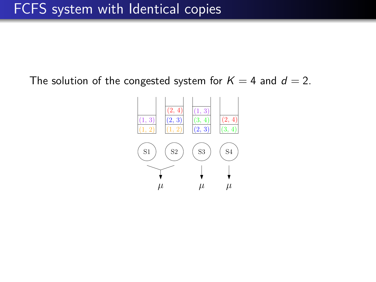The solution of the congested system for  $K = 4$  and  $d = 2$ .

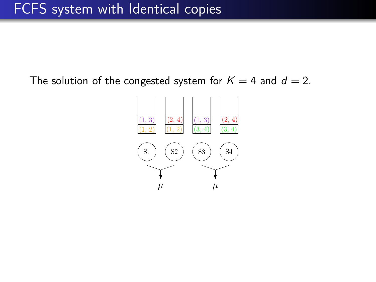The solution of the congested system for  $K = 4$  and  $d = 2$ .

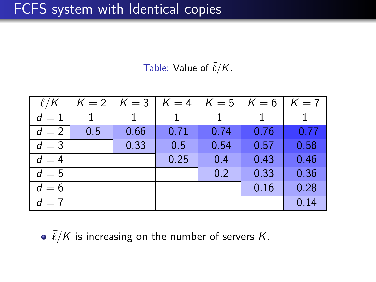Table: Value of  $\bar{\ell}/K$ .

| $\ell/K$ |     | $K = 2   K = 3   K = 4$ |      | $K=5$ | $K=6$ | $K=7$ |
|----------|-----|-------------------------|------|-------|-------|-------|
| $d=1$    |     |                         |      |       |       |       |
| $d=2$    | 0.5 | 0.66                    | 0.71 | 0.74  | 0.76  | 0.77  |
| $d=3$    |     | 0.33                    | 0.5  | 0.54  | 0.57  | 0.58  |
| $d=4$    |     |                         | 0.25 | 0.4   | 0.43  | 0.46  |
| $d=5$    |     |                         |      | 0.2   | 0.33  | 0.36  |
| $d=6$    |     |                         |      |       | 0.16  | 0.28  |
| $d=7$    |     |                         |      |       |       | 0.14  |

 $\cdot$   $\bar{\ell}/K$  is increasing on the number of servers *K*.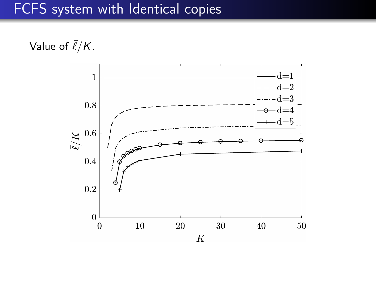Value of  $\bar{\ell}/K$ .

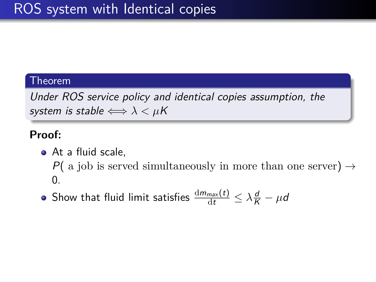<span id="page-47-0"></span>Under ROS service policy and identical copies assumption, the system is stable  $\Longleftrightarrow \lambda < \mu K$ 

#### **Proof:**

- At a fluid scale. P( a job is served simultaneously in more than one server)  $\rightarrow$  $\theta$ .
- Show that fluid limit satisfies  $\frac{\mathrm{d} m_{max}(t)}{\mathrm{d} t} \leq \lambda \frac{d}{K} \mu d$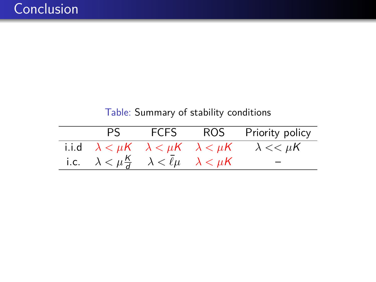| PS -                                                                          |  | FCFS ROS Priority policy                                                      |
|-------------------------------------------------------------------------------|--|-------------------------------------------------------------------------------|
|                                                                               |  | i.i.d $\lambda < \mu K$ $\lambda < \mu K$ $\lambda < \mu K$ $\lambda < \mu K$ |
| i.c. $\lambda < \mu \frac{K}{d}$ $\lambda < \bar{\ell} \mu$ $\lambda < \mu K$ |  |                                                                               |

Table: Summary of stability conditions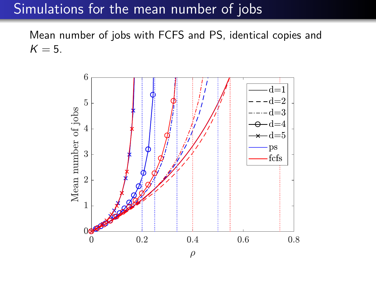### <span id="page-49-0"></span>Simulations for the mean number of jobs

Mean number of jobs with FCFS and PS, identical copies and  $K = 5$ .

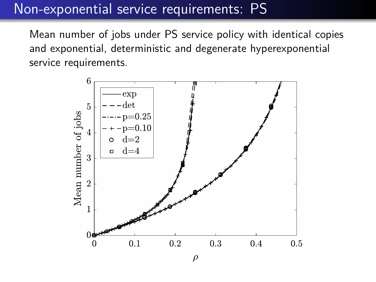# Non-exponential service requirements: PS

Mean number of jobs under PS service policy with identical copies and exponential, deterministic and degenerate hyperexponential service requirements.

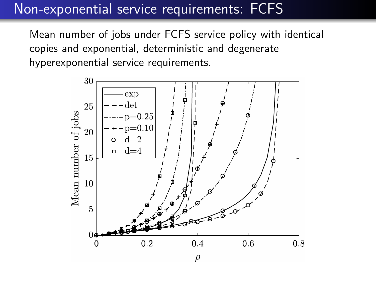# Non-exponential service requirements: FCFS

Mean number of jobs under FCFS service policy with identical copies and exponential, deterministic and degenerate hyperexponential service requirements.

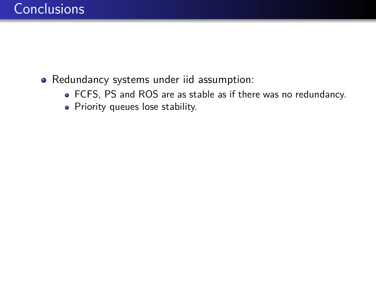- <span id="page-52-0"></span>Redundancy systems under iid assumption:
	- FCFS, PS and ROS are as stable as if there was no redundancy.
	- Priority queues lose stability.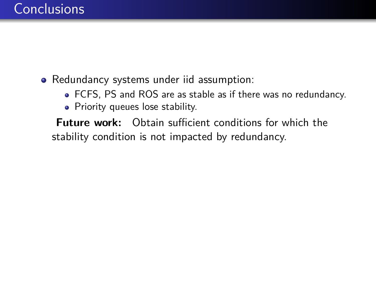### Redundancy systems under iid assumption:

- FCFS, PS and ROS are as stable as if there was no redundancy.
- Priority queues lose stability.

**Future work:** Obtain sufficient conditions for which the stability condition is not impacted by redundancy.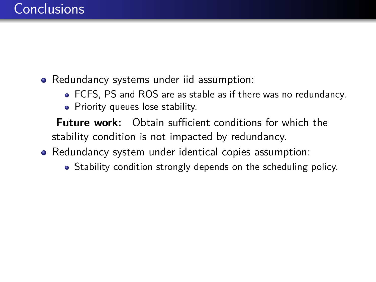- Redundancy systems under iid assumption:
	- FCFS, PS and ROS are as stable as if there was no redundancy.
	- Priority queues lose stability.

**Future work:** Obtain sufficient conditions for which the stability condition is not impacted by redundancy.

- Redundancy system under identical copies assumption:
	- Stability condition strongly depends on the scheduling policy.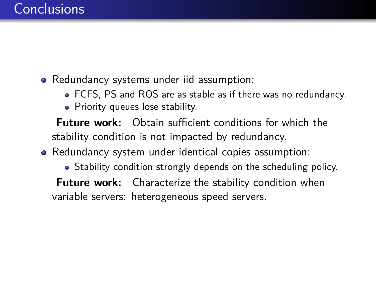- Redundancy systems under iid assumption:
	- FCFS, PS and ROS are as stable as if there was no redundancy.
	- Priority queues lose stability.

**Future work:** Obtain sufficient conditions for which the stability condition is not impacted by redundancy.

• Redundancy system under identical copies assumption:

• Stability condition strongly depends on the scheduling policy.

**Future work:** Characterize the stability condition when variable servers: heterogeneous speed servers.